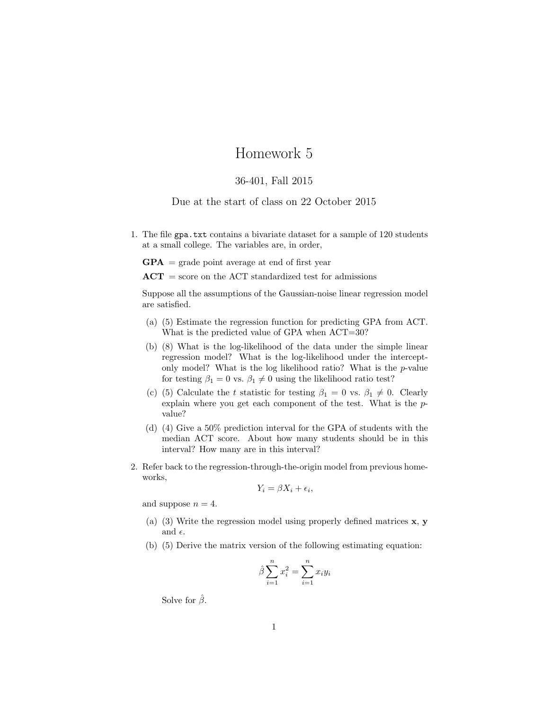## Homework 5

## 36-401, Fall 2015

## Due at the start of class on 22 October 2015

1. The file gpa.txt contains a bivariate dataset for a sample of 120 students at a small college. The variables are, in order,

 $GPA$  = grade point average at end of first year

 $ACT = score on the ACT standardized test for admissions$ 

Suppose all the assumptions of the Gaussian-noise linear regression model are satisfied.

- (a) (5) Estimate the regression function for predicting GPA from ACT. What is the predicted value of GPA when  $ACT=30$ ?
- (b) (8) What is the log-likelihood of the data under the simple linear regression model? What is the log-likelihood under the interceptonly model? What is the log likelihood ratio? What is the p-value for testing  $\beta_1 = 0$  vs.  $\beta_1 \neq 0$  using the likelihood ratio test?
- (c) (5) Calculate the t statistic for testing  $\beta_1 = 0$  vs.  $\beta_1 \neq 0$ . Clearly explain where you get each component of the test. What is the pvalue?
- (d) (4) Give a 50% prediction interval for the GPA of students with the median ACT score. About how many students should be in this interval? How many are in this interval?
- 2. Refer back to the regression-through-the-origin model from previous homeworks,

$$
Y_i = \beta X_i + \epsilon_i,
$$

and suppose  $n = 4$ .

- (a) (3) Write the regression model using properly defined matrices x, y and  $\epsilon$ .
- (b) (5) Derive the matrix version of the following estimating equation:

$$
\hat{\beta} \sum_{i=1}^{n} x_i^2 = \sum_{i=1}^{n} x_i y_i
$$

Solve for  $\hat{\beta}$ .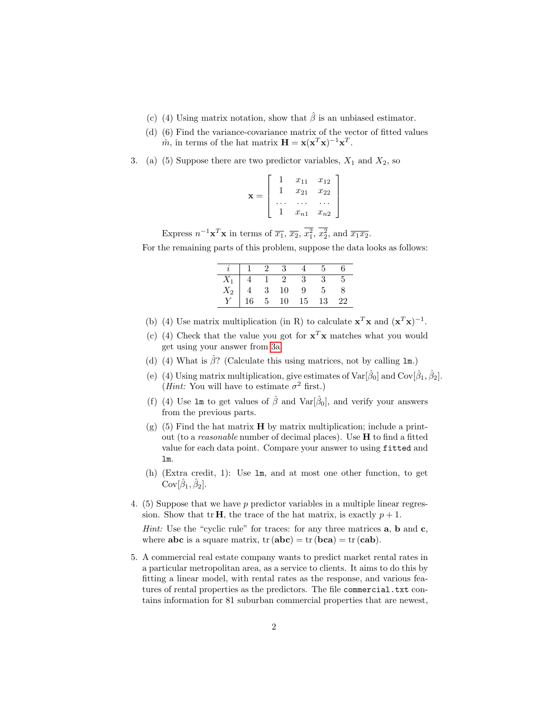- (c) (4) Using matrix notation, show that  $\hat{\beta}$  is an unbiased estimator.
- (d) (6) Find the variance-covariance matrix of the vector of fitted values  $\hat{m}$ , in terms of the hat matrix  $\mathbf{H} = \mathbf{x} (\mathbf{x}^T \mathbf{x})^{-1} \mathbf{x}^T$ .
- <span id="page-1-0"></span>3. (a) (5) Suppose there are two predictor variables,  $X_1$  and  $X_2$ , so

$$
\mathbf{x} = \left[ \begin{array}{cccc} 1 & x_{11} & x_{12} \\ 1 & x_{21} & x_{22} \\ \cdots & \cdots & \cdots \\ 1 & x_{n1} & x_{n2} \end{array} \right]
$$

Express  $n^{-1}\mathbf{x}^T\mathbf{x}$  in terms of  $\overline{x_1}$ ,  $\overline{x_2}$ ,  $\overline{x_1^2}$ ,  $\overline{x_2^2}$ , and  $\overline{x_1x_2}$ .

For the remaining parts of this problem, suppose the data looks as follows:

|                                                  |                | $\overline{2}$ | -3             |    |    | 6. |
|--------------------------------------------------|----------------|----------------|----------------|----|----|----|
|                                                  | $\overline{4}$ |                | $\overline{2}$ |    | -3 |    |
| $\begin{array}{c}\nX_1 \\ X_2 \\ Y\n\end{array}$ |                | $\sqrt{3}$     | 10             | 9  | h, |    |
|                                                  | $\frac{4}{16}$ | 5 <sup>1</sup> | 10             | 15 | 13 | 22 |

- (b) (4) Use matrix multiplication (in R) to calculate  $\mathbf{x}^T \mathbf{x}$  and  $(\mathbf{x}^T \mathbf{x})^{-1}$ .
- (c) (4) Check that the value you got for  $\mathbf{x}^T\mathbf{x}$  matches what you would get using your answer from [3a.](#page-1-0)
- (d) (4) What is  $\hat{\beta}$ ? (Calculate this using matrices, not by calling lm.)
- (e) (4) Using matrix multiplication, give estimates of  $\text{Var}[\hat{\beta}_0]$  and  $\text{Cov}[\hat{\beta}_1, \hat{\beta}_2]$ . (*Hint*: You will have to estimate  $\sigma^2$  first.)
- (f) (4) Use  $\text{Im}$  to get values of  $\hat{\beta}$  and  $\text{Var}[\hat{\beta}_0]$ , and verify your answers from the previous parts.
- $(g)$  (5) Find the hat matrix **H** by matrix multiplication; include a printout (to a reasonable number of decimal places). Use H to find a fitted value for each data point. Compare your answer to using fitted and lm.
- (h) (Extra credit, 1): Use lm, and at most one other function, to get  $Cov[\hat{\beta}_1, \hat{\beta}_2].$
- 4. (5) Suppose that we have  $p$  predictor variables in a multiple linear regression. Show that tr **H**, the trace of the hat matrix, is exactly  $p + 1$ .

*Hint:* Use the "cyclic rule" for traces: for any three matrices  $a$ ,  $b$  and  $c$ , where **abc** is a square matrix,  $tr(abc) = tr(bca) = tr(cab)$ .

5. A commercial real estate company wants to predict market rental rates in a particular metropolitan area, as a service to clients. It aims to do this by fitting a linear model, with rental rates as the response, and various features of rental properties as the predictors. The file commercial.txt contains information for 81 suburban commercial properties that are newest,